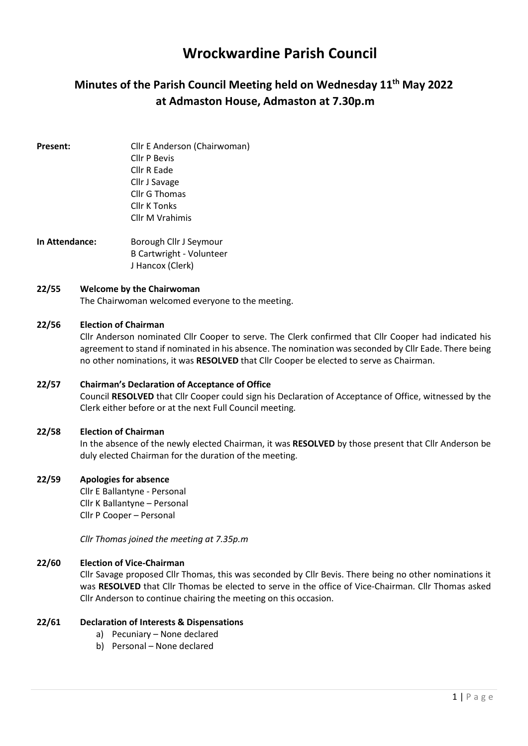# Wrockwardine Parish Council

# Minutes of the Parish Council Meeting held on Wednesday 11<sup>th</sup> May 2022 at Admaston House, Admaston at 7.30p.m

**Present:** Cllr E Anderson (Chairwoman) Cllr P Bevis Cllr R Eade Cllr J Savage Cllr G Thomas Cllr K Tonks Cllr M Vrahimis

In Attendance: Borough Cllr J Seymour B Cartwright - Volunteer J Hancox (Clerk)

### 22/55 Welcome by the Chairwoman

The Chairwoman welcomed everyone to the meeting.

## 22/56 Election of Chairman

Cllr Anderson nominated Cllr Cooper to serve. The Clerk confirmed that Cllr Cooper had indicated his agreement to stand if nominated in his absence. The nomination was seconded by Cllr Eade. There being no other nominations, it was RESOLVED that Cllr Cooper be elected to serve as Chairman.

## 22/57 Chairman's Declaration of Acceptance of Office

Council RESOLVED that Cllr Cooper could sign his Declaration of Acceptance of Office, witnessed by the Clerk either before or at the next Full Council meeting.

#### 22/58 Election of Chairman

In the absence of the newly elected Chairman, it was RESOLVED by those present that Cllr Anderson be duly elected Chairman for the duration of the meeting.

#### 22/59 Apologies for absence

Cllr E Ballantyne - Personal Cllr K Ballantyne – Personal Cllr P Cooper – Personal

Cllr Thomas joined the meeting at 7.35p.m

## 22/60 Election of Vice-Chairman

Cllr Savage proposed Cllr Thomas, this was seconded by Cllr Bevis. There being no other nominations it was RESOLVED that Cllr Thomas be elected to serve in the office of Vice-Chairman. Cllr Thomas asked Cllr Anderson to continue chairing the meeting on this occasion.

## 22/61 Declaration of Interests & Dispensations

- a) Pecuniary None declared
- b) Personal None declared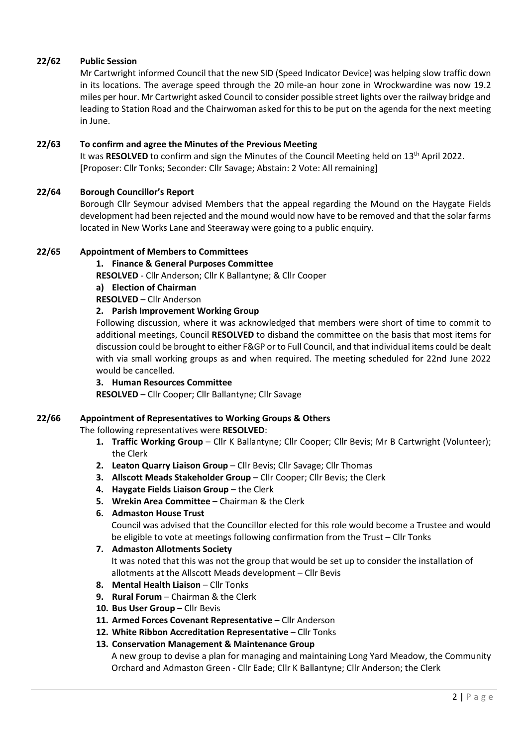## 22/62 Public Session

Mr Cartwright informed Council that the new SID (Speed Indicator Device) was helping slow traffic down in its locations. The average speed through the 20 mile-an hour zone in Wrockwardine was now 19.2 miles per hour. Mr Cartwright asked Council to consider possible street lights over the railway bridge and leading to Station Road and the Chairwoman asked for this to be put on the agenda for the next meeting in June.

#### 22/63 To confirm and agree the Minutes of the Previous Meeting

It was RESOLVED to confirm and sign the Minutes of the Council Meeting held on  $13<sup>th</sup>$  April 2022. [Proposer: Cllr Tonks; Seconder: Cllr Savage; Abstain: 2 Vote: All remaining]

### 22/64 Borough Councillor's Report

Borough Cllr Seymour advised Members that the appeal regarding the Mound on the Haygate Fields development had been rejected and the mound would now have to be removed and that the solar farms located in New Works Lane and Steeraway were going to a public enquiry.

### 22/65 Appointment of Members to Committees

#### 1. Finance & General Purposes Committee

RESOLVED - Cllr Anderson; Cllr K Ballantyne; & Cllr Cooper

a) Election of Chairman

RESOLVED – Cllr Anderson

### 2. Parish Improvement Working Group

Following discussion, where it was acknowledged that members were short of time to commit to additional meetings, Council RESOLVED to disband the committee on the basis that most items for discussion could be brought to either F&GP or to Full Council, and that individual items could be dealt with via small working groups as and when required. The meeting scheduled for 22nd June 2022 would be cancelled.

#### 3. Human Resources Committee

RESOLVED – Cllr Cooper; Cllr Ballantyne; Cllr Savage

#### 22/66 Appointment of Representatives to Working Groups & Others

The following representatives were RESOLVED:

- 1. Traffic Working Group Cllr K Ballantyne; Cllr Cooper; Cllr Bevis; Mr B Cartwright (Volunteer); the Clerk
- 2. Leaton Quarry Liaison Group Cllr Bevis; Cllr Savage; Cllr Thomas
- 3. Allscott Meads Stakeholder Group Cllr Cooper; Cllr Bevis; the Clerk
- 4. Haygate Fields Liaison Group the Clerk
- 5. Wrekin Area Committee Chairman & the Clerk

#### 6. Admaston House Trust

 Council was advised that the Councillor elected for this role would become a Trustee and would be eligible to vote at meetings following confirmation from the Trust – Cllr Tonks

#### 7. Admaston Allotments Society It was noted that this was not the group that would be set up to consider the installation of allotments at the Allscott Meads development – Cllr Bevis

- 8. Mental Health Liaison Cllr Tonks
- 9. Rural Forum Chairman & the Clerk
- 10. Bus User Group Cllr Bevis
- 11. Armed Forces Covenant Representative Cllr Anderson
- 12. White Ribbon Accreditation Representative Cllr Tonks

## 13. Conservation Management & Maintenance Group

 A new group to devise a plan for managing and maintaining Long Yard Meadow, the Community Orchard and Admaston Green - Cllr Eade; Cllr K Ballantyne; Cllr Anderson; the Clerk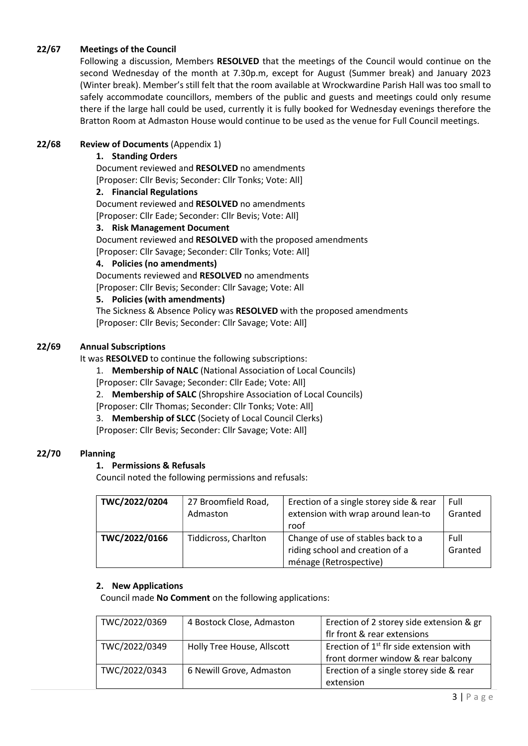## 22/67 Meetings of the Council

Following a discussion, Members RESOLVED that the meetings of the Council would continue on the second Wednesday of the month at 7.30p.m, except for August (Summer break) and January 2023 (Winter break). Member's still felt that the room available at Wrockwardine Parish Hall was too small to safely accommodate councillors, members of the public and guests and meetings could only resume there if the large hall could be used, currently it is fully booked for Wednesday evenings therefore the Bratton Room at Admaston House would continue to be used as the venue for Full Council meetings.

## 22/68 Review of Documents (Appendix 1)

#### 1. Standing Orders

Document reviewed and RESOLVED no amendments [Proposer: Cllr Bevis; Seconder: Cllr Tonks; Vote: All]

#### 2. Financial Regulations

Document reviewed and RESOLVED no amendments [Proposer: Cllr Eade; Seconder: Cllr Bevis; Vote: All]

## 3. Risk Management Document

Document reviewed and RESOLVED with the proposed amendments

[Proposer: Cllr Savage; Seconder: Cllr Tonks; Vote: All]

#### 4. Policies (no amendments)

Documents reviewed and RESOLVED no amendments [Proposer: Cllr Bevis; Seconder: Cllr Savage; Vote: All

### 5. Policies (with amendments)

The Sickness & Absence Policy was RESOLVED with the proposed amendments [Proposer: Cllr Bevis; Seconder: Cllr Savage; Vote: All]

## 22/69 Annual Subscriptions

It was RESOLVED to continue the following subscriptions:

1. Membership of NALC (National Association of Local Councils)

[Proposer: Cllr Savage; Seconder: Cllr Eade; Vote: All]

2. Membership of SALC (Shropshire Association of Local Councils)

[Proposer: Cllr Thomas; Seconder: Cllr Tonks; Vote: All]

3. Membership of SLCC (Society of Local Council Clerks)

[Proposer: Cllr Bevis; Seconder: Cllr Savage; Vote: All]

#### 22/70 Planning

## 1. Permissions & Refusals

Council noted the following permissions and refusals:

| TWC/2022/0204 | 27 Broomfield Road,<br>Admaston | Erection of a single storey side & rear<br>extension with wrap around lean-to<br>roof           | Full<br>Granted |
|---------------|---------------------------------|-------------------------------------------------------------------------------------------------|-----------------|
| TWC/2022/0166 | <b>Tiddicross, Charlton</b>     | Change of use of stables back to a<br>riding school and creation of a<br>ménage (Retrospective) | Full<br>Granted |

#### 2. New Applications

Council made No Comment on the following applications:

| TWC/2022/0369 | 4 Bostock Close, Admaston  | Erection of 2 storey side extension & gr            |
|---------------|----------------------------|-----------------------------------------------------|
|               |                            | flr front & rear extensions                         |
| TWC/2022/0349 | Holly Tree House, Allscott | Erection of 1 <sup>st</sup> flr side extension with |
|               |                            | front dormer window & rear balcony                  |
| TWC/2022/0343 | 6 Newill Grove, Admaston   | Erection of a single storey side & rear             |
|               |                            | extension                                           |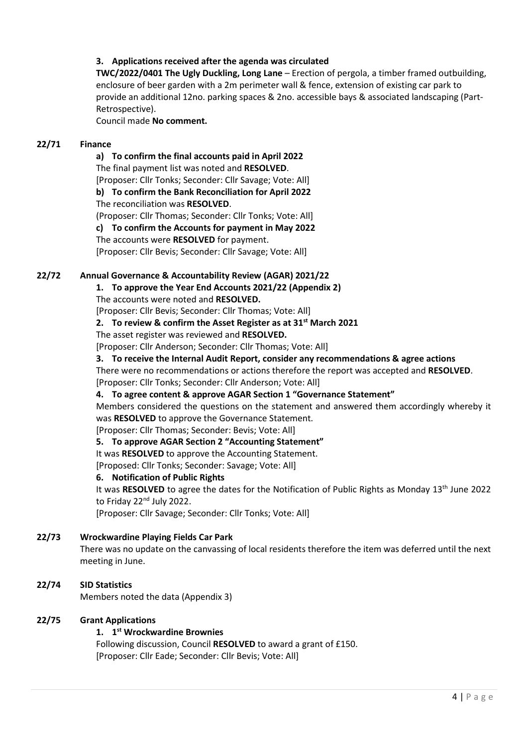## 3. Applications received after the agenda was circulated

TWC/2022/0401 The Ugly Duckling, Long Lane – Erection of pergola, a timber framed outbuilding, enclosure of beer garden with a 2m perimeter wall & fence, extension of existing car park to provide an additional 12no. parking spaces & 2no. accessible bays & associated landscaping (Part-Retrospective).

Council made No comment.

### 22/71 Finance

#### a) To confirm the final accounts paid in April 2022

The final payment list was noted and RESOLVED.

[Proposer: Cllr Tonks; Seconder: Cllr Savage; Vote: All]

## b) To confirm the Bank Reconciliation for April 2022

The reconciliation was RESOLVED.

(Proposer: Cllr Thomas; Seconder: Cllr Tonks; Vote: All]

c) To confirm the Accounts for payment in May 2022

The accounts were RESOLVED for payment.

[Proposer: Cllr Bevis; Seconder: Cllr Savage; Vote: All]

### 22/72 Annual Governance & Accountability Review (AGAR) 2021/22

1. To approve the Year End Accounts 2021/22 (Appendix 2)

The accounts were noted and RESOLVED.

[Proposer: Cllr Bevis; Seconder: Cllr Thomas; Vote: All]

### 2. To review & confirm the Asset Register as at  $31^{st}$  March 2021

The asset register was reviewed and RESOLVED.

[Proposer: Cllr Anderson; Seconder: Cllr Thomas; Vote: All]

3. To receive the Internal Audit Report, consider any recommendations & agree actions

There were no recommendations or actions therefore the report was accepted and RESOLVED.

[Proposer: Cllr Tonks; Seconder: Cllr Anderson; Vote: All]

#### 4. To agree content & approve AGAR Section 1 "Governance Statement"

Members considered the questions on the statement and answered them accordingly whereby it was RESOLVED to approve the Governance Statement.

[Proposer: Cllr Thomas; Seconder: Bevis; Vote: All]

## 5. To approve AGAR Section 2 "Accounting Statement"

It was RESOLVED to approve the Accounting Statement.

[Proposed: Cllr Tonks; Seconder: Savage; Vote: All]

## 6. Notification of Public Rights

It was RESOLVED to agree the dates for the Notification of Public Rights as Monday 13<sup>th</sup> June 2022 to Friday 22<sup>nd</sup> July 2022.

[Proposer: Cllr Savage; Seconder: Cllr Tonks; Vote: All]

## 22/73 Wrockwardine Playing Fields Car Park

There was no update on the canvassing of local residents therefore the item was deferred until the next meeting in June.

## 22/74 SID Statistics

Members noted the data (Appendix 3)

## 22/75 Grant Applications

## 1. 1 st Wrockwardine Brownies

Following discussion, Council RESOLVED to award a grant of £150. [Proposer: Cllr Eade; Seconder: Cllr Bevis; Vote: All]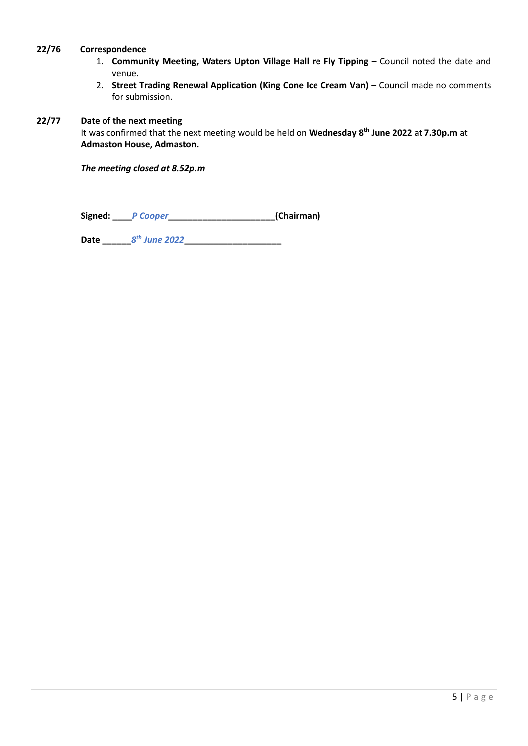## 22/76 Correspondence

- 1. Community Meeting, Waters Upton Village Hall re Fly Tipping Council noted the date and venue.
- 2. Street Trading Renewal Application (King Cone Ice Cream Van) Council made no comments for submission.

## 22/77 Date of the next meeting

It was confirmed that the next meeting would be held on Wednesday 8<sup>th</sup> June 2022 at 7.30p.m at Admaston House, Admaston.

The meeting closed at 8.52p.m

Signed: PCooper\_\_\_\_\_\_\_\_\_\_\_\_\_\_\_\_\_\_\_\_\_\_\_\_\_(Chairman)

Date \_\_\_\_\_\_8 th June 2022\_\_\_\_\_\_\_\_\_\_\_\_\_\_\_\_\_\_\_\_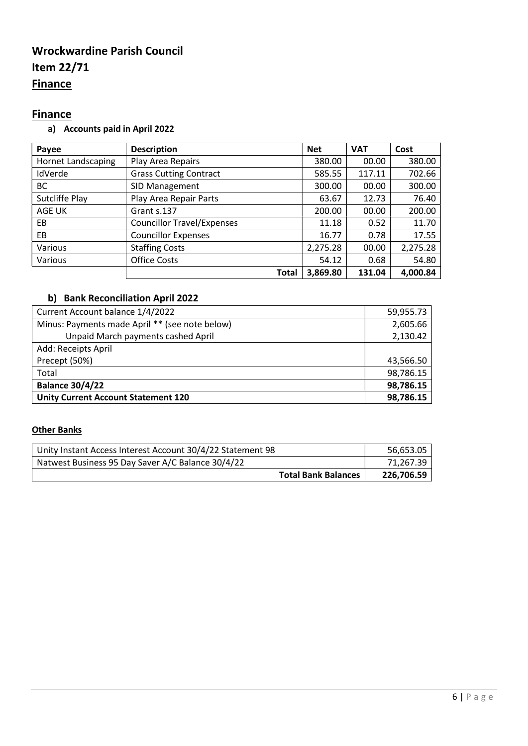# Wrockwardine Parish Council Item 22/71 **Finance**

# **Finance**

a) Accounts paid in April 2022

| Payee                     | <b>Description</b>                | <b>Net</b> | <b>VAT</b> | Cost     |
|---------------------------|-----------------------------------|------------|------------|----------|
| <b>Hornet Landscaping</b> | Play Area Repairs                 | 380.00     | 00.00      | 380.00   |
| IdVerde                   | <b>Grass Cutting Contract</b>     | 585.55     | 117.11     | 702.66   |
| ВC                        | SID Management                    | 300.00     | 00.00      | 300.00   |
| Sutcliffe Play            | Play Area Repair Parts            | 63.67      | 12.73      | 76.40    |
| AGE UK                    | Grant s.137                       | 200.00     | 00.00      | 200.00   |
| EB.                       | <b>Councillor Travel/Expenses</b> | 11.18      | 0.52       | 11.70    |
| EB                        | <b>Councillor Expenses</b>        | 16.77      | 0.78       | 17.55    |
| Various                   | <b>Staffing Costs</b>             | 2,275.28   | 00.00      | 2,275.28 |
| Various                   | <b>Office Costs</b>               | 54.12      | 0.68       | 54.80    |
|                           | <b>Total</b>                      | 3,869.80   | 131.04     | 4,000.84 |

# b) Bank Reconciliation April 2022

| Current Account balance 1/4/2022               | 59,955.73 |
|------------------------------------------------|-----------|
| Minus: Payments made April ** (see note below) | 2,605.66  |
| Unpaid March payments cashed April             | 2,130.42  |
| Add: Receipts April                            |           |
| Precept (50%)                                  | 43,566.50 |
| Total                                          | 98,786.15 |
| <b>Balance 30/4/22</b>                         | 98,786.15 |
| <b>Unity Current Account Statement 120</b>     | 98,786.15 |

## **Other Banks**

| Unity Instant Access Interest Account 30/4/22 Statement 98 | 56,653.05  |
|------------------------------------------------------------|------------|
| Natwest Business 95 Day Saver A/C Balance 30/4/22          | 71.267.39  |
| <b>Total Bank Balances</b>                                 | 226.706.59 |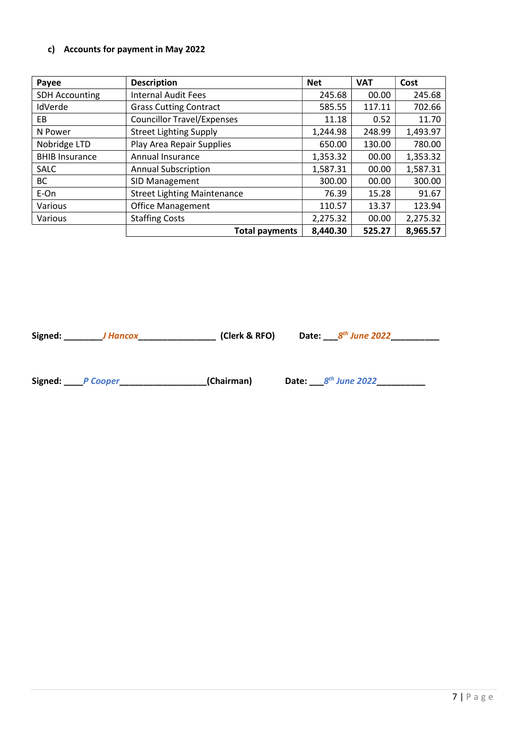## c) Accounts for payment in May 2022

| Payee                 | <b>Description</b>                 | <b>Net</b> | <b>VAT</b> | Cost     |
|-----------------------|------------------------------------|------------|------------|----------|
| <b>SDH Accounting</b> | <b>Internal Audit Fees</b>         | 245.68     | 00.00      | 245.68   |
| IdVerde               | <b>Grass Cutting Contract</b>      | 585.55     | 117.11     | 702.66   |
| EВ                    | <b>Councillor Travel/Expenses</b>  | 11.18      | 0.52       | 11.70    |
| N Power               | <b>Street Lighting Supply</b>      | 1,244.98   | 248.99     | 1,493.97 |
| Nobridge LTD          | Play Area Repair Supplies          | 650.00     | 130.00     | 780.00   |
| <b>BHIB Insurance</b> | Annual Insurance                   | 1,353.32   | 00.00      | 1,353.32 |
| <b>SALC</b>           | <b>Annual Subscription</b>         | 1,587.31   | 00.00      | 1,587.31 |
| <b>BC</b>             | SID Management                     | 300.00     | 00.00      | 300.00   |
| E-On                  | <b>Street Lighting Maintenance</b> | 76.39      | 15.28      | 91.67    |
| Various               | <b>Office Management</b>           | 110.57     | 13.37      | 123.94   |
| Various               | <b>Staffing Costs</b>              | 2,275.32   | 00.00      | 2,275.32 |
|                       | <b>Total payments</b>              | 8,440.30   | 525.27     | 8,965.57 |

Signed: \_\_\_\_\_\_\_\_\_\_J Hancox\_\_\_\_\_\_\_\_\_\_\_\_\_\_\_\_\_\_\_\_(Clerk & RFO) Date: \_\_\_\_8<sup>th</sup> June 2022\_\_\_\_\_\_\_\_\_\_\_\_\_

Signed: \_\_\_\_P Cooper\_\_\_\_\_\_\_\_\_\_\_\_\_\_\_\_\_\_(Chairman) Date: \_\_\_8 th June 2022\_\_\_\_\_\_\_\_\_\_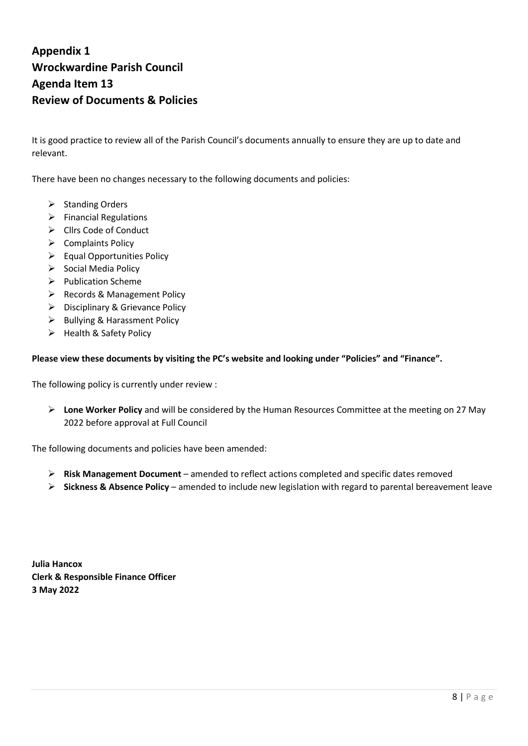# Appendix 1 Wrockwardine Parish Council Agenda Item 13 Review of Documents & Policies

It is good practice to review all of the Parish Council's documents annually to ensure they are up to date and relevant.

There have been no changes necessary to the following documents and policies:

- $\triangleright$  Standing Orders
- $\triangleright$  Financial Regulations
- $\triangleright$  Cllrs Code of Conduct
- $\triangleright$  Complaints Policy
- $\triangleright$  Equal Opportunities Policy
- $\triangleright$  Social Media Policy
- $\triangleright$  Publication Scheme
- $\triangleright$  Records & Management Policy
- ▶ Disciplinary & Grievance Policy
- $\triangleright$  Bullying & Harassment Policy
- $\triangleright$  Health & Safety Policy

#### Please view these documents by visiting the PC's website and looking under "Policies" and "Finance".

The following policy is currently under review :

 $\triangleright$  Lone Worker Policy and will be considered by the Human Resources Committee at the meeting on 27 May 2022 before approval at Full Council

The following documents and policies have been amended:

- $\triangleright$  Risk Management Document amended to reflect actions completed and specific dates removed
- $\triangleright$  Sickness & Absence Policy amended to include new legislation with regard to parental bereavement leave

Julia Hancox Clerk & Responsible Finance Officer 3 May 2022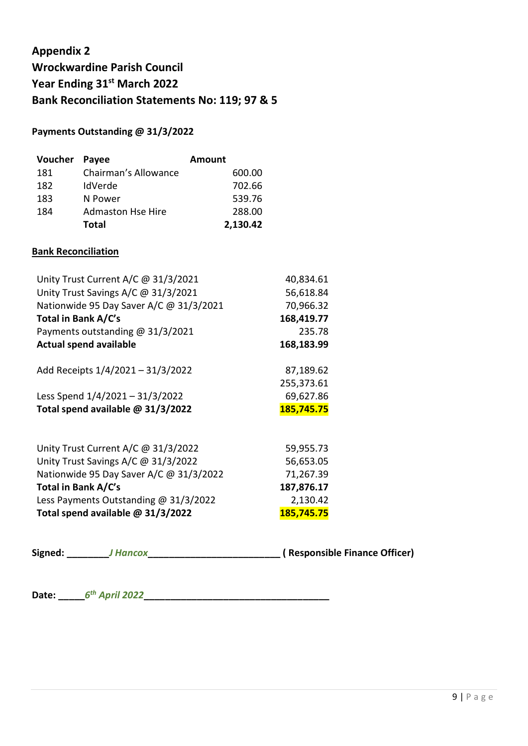# Appendix 2 Wrockwardine Parish Council Year Ending 31st March 2022 Bank Reconciliation Statements No: 119; 97 & 5

## Payments Outstanding @ 31/3/2022

| Voucher Payee |                          | Amount   |
|---------------|--------------------------|----------|
| 181           | Chairman's Allowance     | 600.00   |
| 182           | IdVerde                  | 702.66   |
| 183           | N Power                  | 539.76   |
| 184           | <b>Admaston Hse Hire</b> | 288.00   |
|               | <b>Total</b>             | 2,130.42 |

## Bank Reconciliation

| Unity Trust Current A/C @ 31/3/2021     | 40,834.61  |
|-----------------------------------------|------------|
| Unity Trust Savings A/C @ 31/3/2021     | 56,618.84  |
| Nationwide 95 Day Saver A/C @ 31/3/2021 | 70,966.32  |
| Total in Bank A/C's                     | 168,419.77 |
| Payments outstanding $@31/3/2021$       | 235.78     |
| <b>Actual spend available</b>           | 168,183.99 |
| Add Receipts 1/4/2021 - 31/3/2022       | 87,189.62  |
|                                         | 255,373.61 |
| Less Spend 1/4/2021 - 31/3/2022         | 69,627.86  |
| Total spend available @ 31/3/2022       | 185,745.75 |
| Unity Trust Current A/C @ 31/3/2022     | 59,955.73  |
| Unity Trust Savings A/C @ 31/3/2022     | 56,653.05  |
| Nationwide 95 Day Saver A/C @ 31/3/2022 | 71,267.39  |
| Total in Bank A/C's                     | 187,876.17 |
| Less Payments Outstanding @ 31/3/2022   | 2,130.42   |
| Total spend available @ 31/3/2022       | 185,745.75 |

Signed: \_\_\_\_\_\_\_\_J Hancox\_\_\_\_\_\_\_\_\_\_\_\_\_\_\_\_\_\_\_\_\_\_\_\_\_ ( Responsible Finance Officer)

Date: \_\_\_\_\_6 th April 2022\_\_\_\_\_\_\_\_\_\_\_\_\_\_\_\_\_\_\_\_\_\_\_\_\_\_\_\_\_\_\_\_\_\_\_